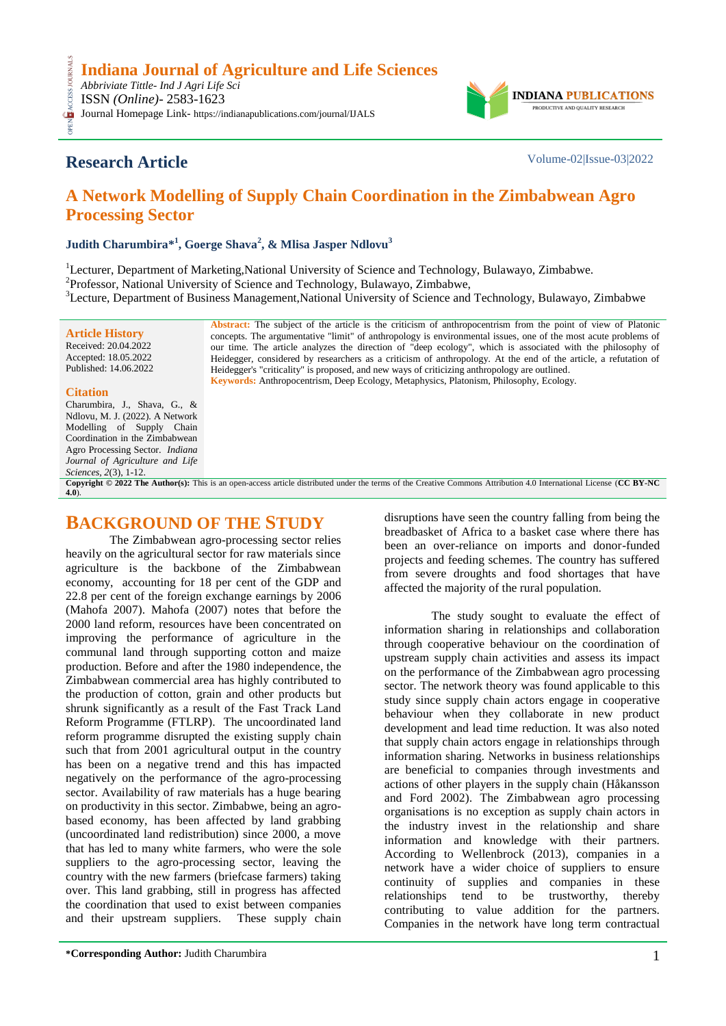**Indiana Journal of Agriculture and Life Sciences**

*Abbriviate Tittle- Ind J Agri Life Sci* ISSN *(Online)*- 2583-1623 Journal Homepage Link- https://indianapublications.com/journal/IJALS



# **Research Article** Volume-02|Issue-03|2022

OPEN ACCESS JOURNALS

**CESS** 

# **A Network Modelling of Supply Chain Coordination in the Zimbabwean Agro Processing Sector**

**Judith Charumbira\* 1 , Goerge Shava<sup>2</sup> , & Mlisa Jasper Ndlovu<sup>3</sup>**

<sup>1</sup>Lecturer, Department of Marketing,National University of Science and Technology, Bulawayo, Zimbabwe. <sup>2</sup>Professor, National University of Science and Technology, Bulawayo, Zimbabwe, <sup>3</sup>Lecture, Department of Business Management,National University of Science and Technology, Bulawayo, Zimbabwe

**Article History** Received: 20.04.2022 Accepted: 18.05.2022 Published: 14.06.2022 **Abstract:** The subject of the article is the criticism of anthropocentrism from the point of view of Platonic concepts. The argumentative "limit" of anthropology is environmental issues, one of the most acute problems of our time. The article analyzes the direction of "deep ecology", which is associated with the philosophy of Heidegger, considered by researchers as a criticism of anthropology. At the end of the article, a refutation of Heidegger's "criticality" is proposed, and new ways of criticizing anthropology are outlined. **Keywords:** Anthropocentrism, Deep Ecology, Metaphysics, Platonism, Philosophy, Ecology.

## **Citation**

Charumbira, J., Shava, G., & Ndlovu, M. J. (2022). A Network Modelling of Supply Chain Coordination in the Zimbabwean Agro Processing Sector. *Indiana Journal of Agriculture and Life Sciences, 2*(3), 1-12.

**Copyright © 2022 The Author(s):** This is an open-access article distributed under the terms of the Creative Commons Attribution 4.0 International License (**[CC BY-NC](https://creativecommons.org/licenses/by-nc/4.0/)  [4.0](https://creativecommons.org/licenses/by-nc/4.0/)**).

# **BACKGROUND OF THE STUDY**

The Zimbabwean agro-processing sector relies heavily on the agricultural sector for raw materials since agriculture is the backbone of the Zimbabwean economy, accounting for 18 per cent of the GDP and 22.8 per cent of the foreign exchange earnings by 2006 (Mahofa 2007). Mahofa (2007) notes that before the 2000 land reform, resources have been concentrated on improving the performance of agriculture in the communal land through supporting cotton and maize production. Before and after the 1980 independence, the Zimbabwean commercial area has highly contributed to the production of cotton, grain and other products but shrunk significantly as a result of the Fast Track Land Reform Programme (FTLRP). The uncoordinated land reform programme disrupted the existing supply chain such that from 2001 agricultural output in the country has been on a negative trend and this has impacted negatively on the performance of the agro-processing sector. Availability of raw materials has a huge bearing on productivity in this sector. Zimbabwe, being an agrobased economy, has been affected by land grabbing (uncoordinated land redistribution) since 2000, a move that has led to many white farmers, who were the sole suppliers to the agro-processing sector, leaving the country with the new farmers (briefcase farmers) taking over. This land grabbing, still in progress has affected the coordination that used to exist between companies and their upstream suppliers. These supply chain

disruptions have seen the country falling from being the breadbasket of Africa to a basket case where there has been an over-reliance on imports and donor-funded projects and feeding schemes. The country has suffered from severe droughts and food shortages that have affected the majority of the rural population.

The study sought to evaluate the effect of information sharing in relationships and collaboration through cooperative behaviour on the coordination of upstream supply chain activities and assess its impact on the performance of the Zimbabwean agro processing sector. The network theory was found applicable to this study since supply chain actors engage in cooperative behaviour when they collaborate in new product development and lead time reduction. It was also noted that supply chain actors engage in relationships through information sharing. Networks in business relationships are beneficial to companies through investments and actions of other players in the supply chain (Håkansson and Ford 2002). The Zimbabwean agro processing organisations is no exception as supply chain actors in the industry invest in the relationship and share information and knowledge with their partners. According to Wellenbrock (2013), companies in a network have a wider choice of suppliers to ensure continuity of supplies and companies in these relationships tend to be trustworthy, thereby contributing to value addition for the partners. Companies in the network have long term contractual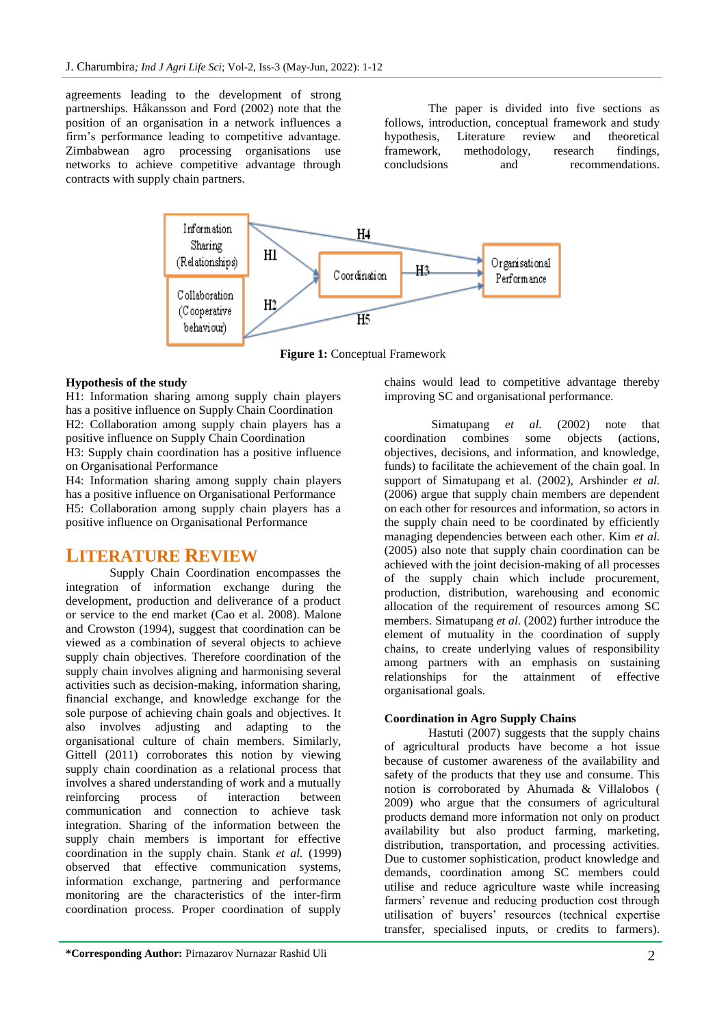agreements leading to the development of strong partnerships. Håkansson and Ford (2002) note that the position of an organisation in a network influences a firm's performance leading to competitive advantage. Zimbabwean agro processing organisations use networks to achieve competitive advantage through contracts with supply chain partners.

The paper is divided into five sections as follows, introduction, conceptual framework and study hypothesis, Literature review and theoretical framework, methodology, research findings, concludsions and recommendations.



**Figure 1:** Conceptual Framework

## **Hypothesis of the study**

H1: Information sharing among supply chain players has a positive influence on Supply Chain Coordination H2: Collaboration among supply chain players has a positive influence on Supply Chain Coordination H3: Supply chain coordination has a positive influence on Organisational Performance

H4: Information sharing among supply chain players has a positive influence on Organisational Performance H5: Collaboration among supply chain players has a positive influence on Organisational Performance

## **LITERATURE REVIEW**

Supply Chain Coordination encompasses the integration of information exchange during the development, production and deliverance of a product or service to the end market (Cao et al. 2008). Malone and Crowston (1994), suggest that coordination can be viewed as a combination of several objects to achieve supply chain objectives. Therefore coordination of the supply chain involves aligning and harmonising several activities such as decision-making, information sharing, financial exchange, and knowledge exchange for the sole purpose of achieving chain goals and objectives. It also involves adjusting and adapting to the organisational culture of chain members. Similarly, Gittell (2011) corroborates this notion by viewing supply chain coordination as a relational process that involves a shared understanding of work and a mutually reinforcing process of interaction between communication and connection to achieve task integration. Sharing of the information between the supply chain members is important for effective coordination in the supply chain. Stank *et al.* (1999) observed that effective communication systems, information exchange, partnering and performance monitoring are the characteristics of the inter-firm coordination process. Proper coordination of supply

chains would lead to competitive advantage thereby improving SC and organisational performance.

Simatupang *et al.* (2002) note that coordination combines some objects (actions, objectives, decisions, and information, and knowledge, funds) to facilitate the achievement of the chain goal. In support of Simatupang et al. (2002), Arshinder *et al.* (2006) argue that supply chain members are dependent on each other for resources and information, so actors in the supply chain need to be coordinated by efficiently managing dependencies between each other. Kim *et al.* (2005) also note that supply chain coordination can be achieved with the joint decision-making of all processes of the supply chain which include procurement, production, distribution, warehousing and economic allocation of the requirement of resources among SC members. Simatupang *et al.* (2002) further introduce the element of mutuality in the coordination of supply chains, to create underlying values of responsibility among partners with an emphasis on sustaining relationships for the attainment of effective organisational goals.

## **Coordination in Agro Supply Chains**

Hastuti  $(2007)$  suggests that the supply chains of agricultural products have become a hot issue because of customer awareness of the availability and safety of the products that they use and consume. This notion is corroborated by Ahumada & Villalobos ( 2009) who argue that the consumers of agricultural products demand more information not only on product availability but also product farming, marketing, distribution, transportation, and processing activities. Due to customer sophistication, product knowledge and demands, coordination among SC members could utilise and reduce agriculture waste while increasing farmers' revenue and reducing production cost through utilisation of buyers' resources (technical expertise transfer, specialised inputs, or credits to farmers).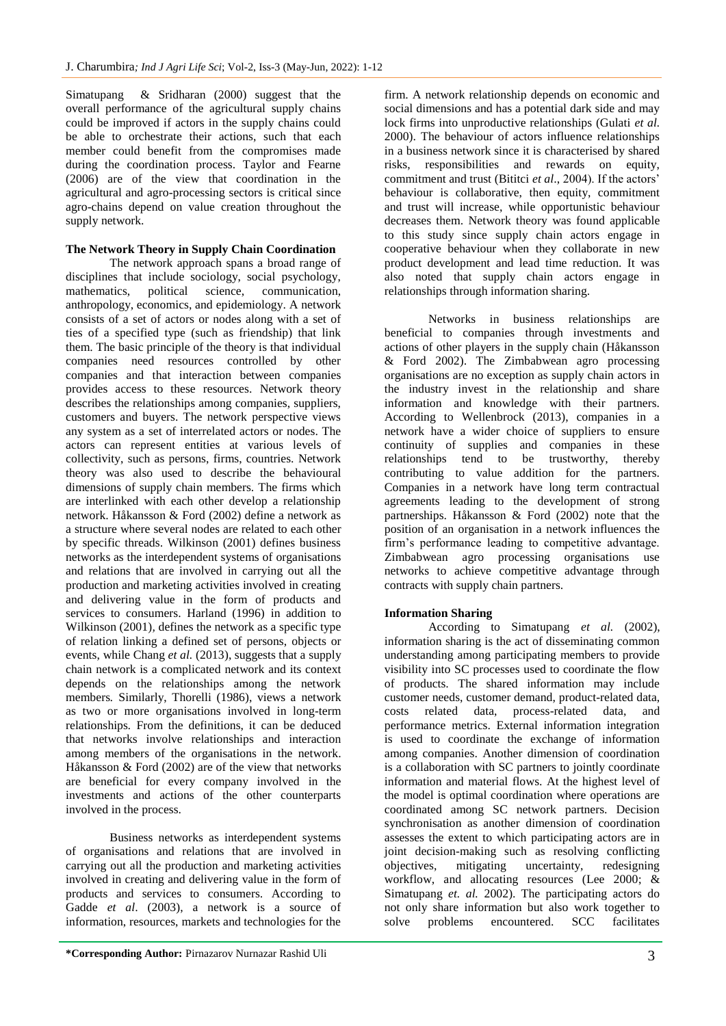Simatupang & Sridharan (2000) suggest that the overall performance of the agricultural supply chains could be improved if actors in the supply chains could be able to orchestrate their actions, such that each member could benefit from the compromises made during the coordination process. Taylor and Fearne (2006) are of the view that coordination in the agricultural and agro-processing sectors is critical since agro-chains depend on value creation throughout the supply network.

## **The Network Theory in Supply Chain Coordination**

The network approach spans a broad range of disciplines that include sociology, social psychology, mathematics, political science, communication. mathematics, political science, communication, anthropology, economics, and epidemiology. A network consists of a set of actors or nodes along with a set of ties of a specified type (such as friendship) that link them. The basic principle of the theory is that individual companies need resources controlled by other companies and that interaction between companies provides access to these resources. Network theory describes the relationships among companies, suppliers, customers and buyers. The network perspective views any system as a set of interrelated actors or nodes. The actors can represent entities at various levels of collectivity, such as persons, firms, countries. Network theory was also used to describe the behavioural dimensions of supply chain members. The firms which are interlinked with each other develop a relationship network. Håkansson & Ford (2002) define a network as a structure where several nodes are related to each other by specific threads. Wilkinson (2001) defines business networks as the interdependent systems of organisations and relations that are involved in carrying out all the production and marketing activities involved in creating and delivering value in the form of products and services to consumers. Harland (1996) in addition to Wilkinson (2001)*,* defines the network as a specific type of relation linking a defined set of persons, objects or events, while Chang *et al.* (2013), suggests that a supply chain network is a complicated network and its context depends on the relationships among the network members*.* Similarly, Thorelli (1986), views a network as two or more organisations involved in long-term relationships*.* From the definitions, it can be deduced that networks involve relationships and interaction among members of the organisations in the network. Håkansson & Ford (2002) are of the view that networks are beneficial for every company involved in the investments and actions of the other counterparts involved in the process.

Business networks as interdependent systems of organisations and relations that are involved in carrying out all the production and marketing activities involved in creating and delivering value in the form of products and services to consumers. According to Gadde *et al*. (2003), a network is a source of information, resources, markets and technologies for the

**\*Corresponding Author:** Pirnazarov Nurnazar Rashid Uli 3

firm. A network relationship depends on economic and social dimensions and has a potential dark side and may lock firms into unproductive relationships (Gulati *et al.* 2000). The behaviour of actors influence relationships in a business network since it is characterised by shared risks, responsibilities and rewards on equity, commitment and trust (Bititci *et al*., 2004). If the actors' behaviour is collaborative, then equity, commitment and trust will increase, while opportunistic behaviour decreases them. Network theory was found applicable to this study since supply chain actors engage in cooperative behaviour when they collaborate in new product development and lead time reduction. It was also noted that supply chain actors engage in relationships through information sharing.

Networks in business relationships are beneficial to companies through investments and actions of other players in the supply chain (Håkansson & Ford 2002). The Zimbabwean agro processing organisations are no exception as supply chain actors in the industry invest in the relationship and share information and knowledge with their partners. According to Wellenbrock (2013), companies in a network have a wider choice of suppliers to ensure continuity of supplies and companies in these<br>relationships tend to be trustworthy, thereby relationships tend to be contributing to value addition for the partners. Companies in a network have long term contractual agreements leading to the development of strong partnerships. Håkansson & Ford (2002) note that the position of an organisation in a network influences the firm's performance leading to competitive advantage. Zimbabwean agro processing organisations use networks to achieve competitive advantage through contracts with supply chain partners.

## **Information Sharing**

According to Simatupang *et al.* (2002), information sharing is the act of disseminating common understanding among participating members to provide visibility into SC processes used to coordinate the flow of products. The shared information may include customer needs, customer demand, product-related data, costs related data, process-related data, and performance metrics. External information integration is used to coordinate the exchange of information among companies. Another dimension of coordination is a collaboration with SC partners to jointly coordinate information and material flows. At the highest level of the model is optimal coordination where operations are coordinated among SC network partners. Decision synchronisation as another dimension of coordination assesses the extent to which participating actors are in joint decision-making such as resolving conflicting objectives, mitigating uncertainty, redesigning workflow, and allocating resources (Lee 2000; & Simatupang *et. al.* 2002). The participating actors do not only share information but also work together to solve problems encountered. SCC facilitates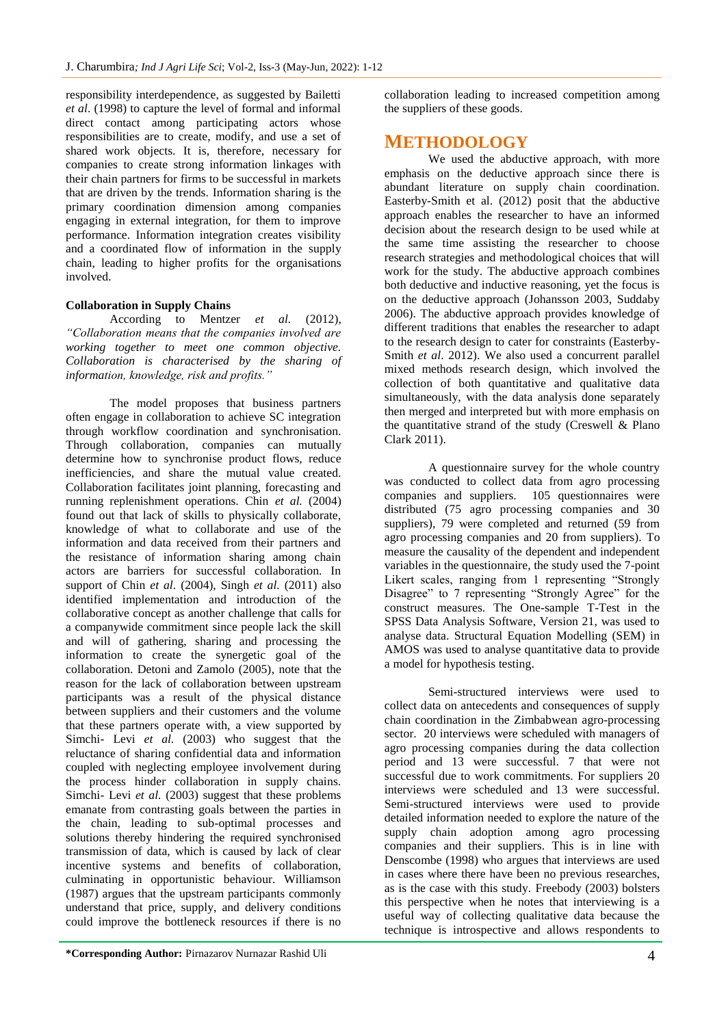responsibility interdependence, as suggested by Bailetti *et al*. (1998) to capture the level of formal and informal direct contact among participating actors whose responsibilities are to create, modify, and use a set of shared work objects. It is, therefore, necessary for companies to create strong information linkages with their chain partners for firms to be successful in markets that are driven by the trends. Information sharing is the primary coordination dimension among companies engaging in external integration, for them to improve performance. Information integration creates visibility and a coordinated flow of information in the supply chain, leading to higher profits for the organisations involved.

## **Collaboration in Supply Chains**

According to Mentzer *et al.* (2012), *"Collaboration means that the companies involved are working together to meet one common objective. Collaboration is characterised by the sharing of information, knowledge, risk and profits."*

The model proposes that business partners often engage in collaboration to achieve SC integration through workflow coordination and synchronisation. Through collaboration, companies can mutually determine how to synchronise product flows, reduce inefficiencies, and share the mutual value created. Collaboration facilitates joint planning, forecasting and running replenishment operations. Chin *et al.* (2004) found out that lack of skills to physically collaborate, knowledge of what to collaborate and use of the information and data received from their partners and the resistance of information sharing among chain actors are barriers for successful collaboration. In support of Chin *et al*. (2004), Singh *et al.* (2011) also identified implementation and introduction of the collaborative concept as another challenge that calls for a companywide commitment since people lack the skill and will of gathering, sharing and processing the information to create the synergetic goal of the collaboration. Detoni and Zamolo (2005), note that the reason for the lack of collaboration between upstream participants was a result of the physical distance between suppliers and their customers and the volume that these partners operate with, a view supported by Simchi- Levi *et al.* (2003) who suggest that the reluctance of sharing confidential data and information coupled with neglecting employee involvement during the process hinder collaboration in supply chains. Simchi- Levi *et al.* (2003) suggest that these problems emanate from contrasting goals between the parties in the chain, leading to sub-optimal processes and solutions thereby hindering the required synchronised transmission of data, which is caused by lack of clear incentive systems and benefits of collaboration, culminating in opportunistic behaviour. Williamson (1987) argues that the upstream participants commonly understand that price, supply, and delivery conditions could improve the bottleneck resources if there is no

**\*Corresponding Author:** Pirnazarov Nurnazar Rashid Uli 4

collaboration leading to increased competition among the suppliers of these goods.

## **METHODOLOGY**

We used the abductive approach, with more emphasis on the deductive approach since there is abundant literature on supply chain coordination. Easterby-Smith et al. (2012) posit that the abductive approach enables the researcher to have an informed decision about the research design to be used while at the same time assisting the researcher to choose research strategies and methodological choices that will work for the study. The abductive approach combines both deductive and inductive reasoning, yet the focus is on the deductive approach (Johansson 2003, Suddaby 2006). The abductive approach provides knowledge of different traditions that enables the researcher to adapt to the research design to cater for constraints (Easterby-Smith *et al*. 2012). We also used a concurrent parallel mixed methods research design, which involved the collection of both quantitative and qualitative data simultaneously, with the data analysis done separately then merged and interpreted but with more emphasis on the quantitative strand of the study (Creswell & Plano Clark 2011).

A questionnaire survey for the whole country was conducted to collect data from agro processing companies and suppliers. 105 questionnaires were distributed (75 agro processing companies and 30 suppliers), 79 were completed and returned (59 from agro processing companies and 20 from suppliers). To measure the causality of the dependent and independent variables in the questionnaire, the study used the 7-point Likert scales, ranging from 1 representing "Strongly Disagree" to 7 representing "Strongly Agree" for the construct measures. The One-sample T-Test in the SPSS Data Analysis Software, Version 21, was used to analyse data. Structural Equation Modelling (SEM) in AMOS was used to analyse quantitative data to provide a model for hypothesis testing.

Semi-structured interviews were used to collect data on antecedents and consequences of supply chain coordination in the Zimbabwean agro-processing sector. 20 interviews were scheduled with managers of agro processing companies during the data collection period and 13 were successful. 7 that were not successful due to work commitments. For suppliers 20 interviews were scheduled and 13 were successful. Semi-structured interviews were used to provide detailed information needed to explore the nature of the supply chain adoption among agro processing companies and their suppliers. This is in line with Denscombe (1998) who argues that interviews are used in cases where there have been no previous researches, as is the case with this study. Freebody (2003) bolsters this perspective when he notes that interviewing is a useful way of collecting qualitative data because the technique is introspective and allows respondents to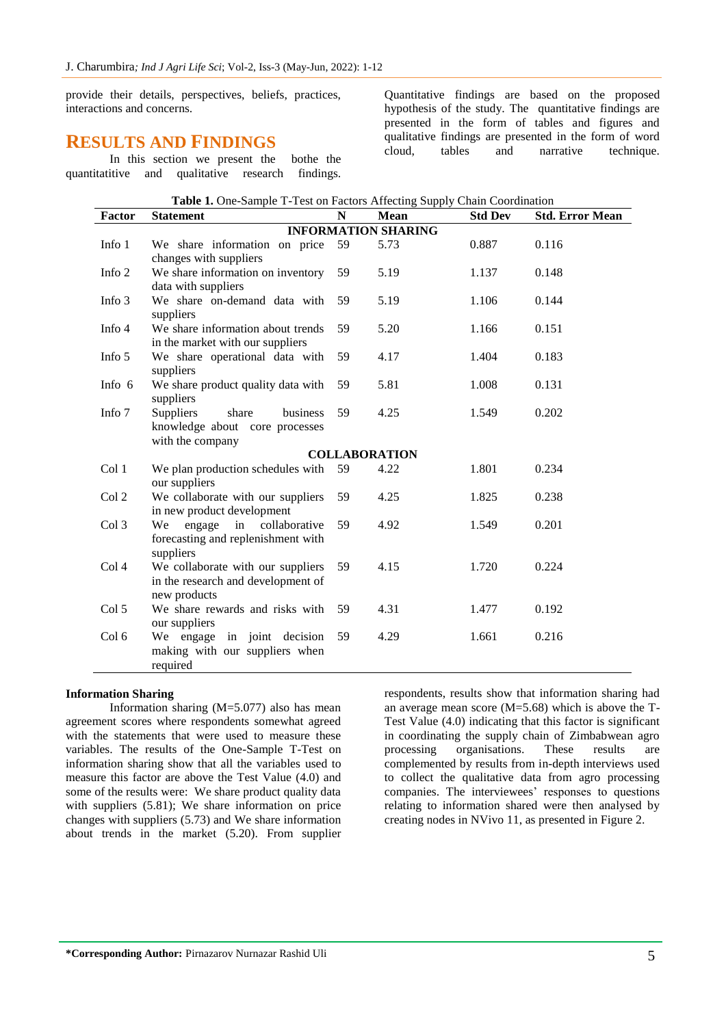provide their details, perspectives, beliefs, practices, interactions and concerns.

## **RESULTS AND FINDINGS**

In this section we present the bothe the quantitatitive and qualitative research findings.

Quantitative findings are based on the proposed hypothesis of the study. The quantitative findings are presented in the form of tables and figures and qualitative findings are presented in the form of word cloud, tables and narrative technique.

|          | <b>Those 1.</b> One bumple 1 1650 on I actord Threeting bupping                             | N  |                            |                |                        |
|----------|---------------------------------------------------------------------------------------------|----|----------------------------|----------------|------------------------|
| Factor   | <b>Statement</b>                                                                            |    | Mean                       | <b>Std Dev</b> | <b>Std. Error Mean</b> |
|          |                                                                                             |    | <b>INFORMATION SHARING</b> |                |                        |
| Info 1   | We share information on price<br>changes with suppliers                                     | 59 | 5.73                       | 0.887          | 0.116                  |
| Info 2   | We share information on inventory<br>data with suppliers                                    | 59 | 5.19                       | 1.137          | 0.148                  |
| Info $3$ | We share on-demand data with<br>suppliers                                                   | 59 | 5.19                       | 1.106          | 0.144                  |
| Info 4   | We share information about trends<br>in the market with our suppliers                       | 59 | 5.20                       | 1.166          | 0.151                  |
| Info 5   | We share operational data with<br>suppliers                                                 | 59 | 4.17                       | 1.404          | 0.183                  |
| Info 6   | We share product quality data with<br>suppliers                                             | 59 | 5.81                       | 1.008          | 0.131                  |
| Info 7   | <b>Suppliers</b><br>share<br>business<br>knowledge about core processes<br>with the company | 59 | 4.25                       | 1.549          | 0.202                  |
|          |                                                                                             |    | <b>COLLABORATION</b>       |                |                        |
| Col 1    | We plan production schedules with<br>our suppliers                                          | 59 | 4.22                       | 1.801          | 0.234                  |
| Col 2    | We collaborate with our suppliers<br>in new product development                             | 59 | 4.25                       | 1.825          | 0.238                  |
| Col 3    | engage<br>in<br>collaborative<br>We<br>forecasting and replenishment with<br>suppliers      | 59 | 4.92                       | 1.549          | 0.201                  |
| Col 4    | We collaborate with our suppliers<br>in the research and development of<br>new products     | 59 | 4.15                       | 1.720          | 0.224                  |
| Col 5    | We share rewards and risks with<br>our suppliers                                            | 59 | 4.31                       | 1.477          | 0.192                  |
| Col 6    | We engage in joint decision<br>making with our suppliers when<br>required                   | 59 | 4.29                       | 1.661          | 0.216                  |

## **Table 1.** One-Sample T-Test on Factors Affecting Supply Chain Coordination

#### **Information Sharing**

Information sharing (M=5.077) also has mean agreement scores where respondents somewhat agreed with the statements that were used to measure these variables. The results of the One-Sample T-Test on information sharing show that all the variables used to measure this factor are above the Test Value (4.0) and some of the results were: We share product quality data with suppliers (5.81); We share information on price changes with suppliers (5.73) and We share information about trends in the market (5.20). From supplier

respondents, results show that information sharing had an average mean score (M=5.68) which is above the T-Test Value (4.0) indicating that this factor is significant in coordinating the supply chain of Zimbabwean agro processing organisations. These results are complemented by results from in-depth interviews used to collect the qualitative data from agro processing companies. The interviewees' responses to questions relating to information shared were then analysed by creating nodes in NVivo 11, as presented in Figure 2.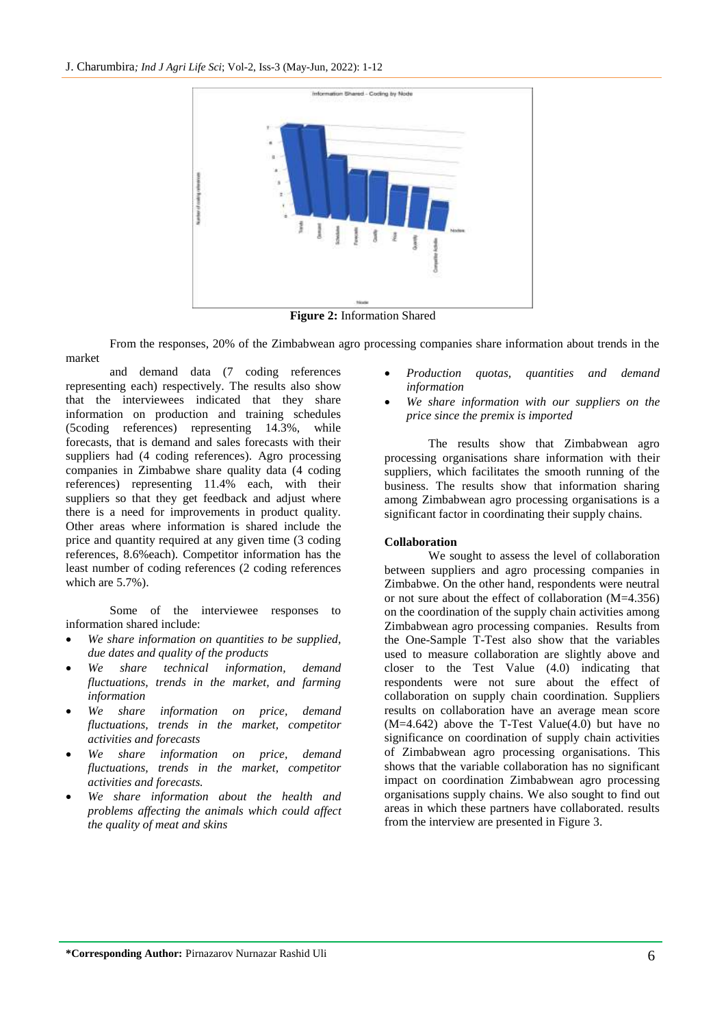

**Figure 2:** Information Shared

From the responses, 20% of the Zimbabwean agro processing companies share information about trends in the market

and demand data (7 coding references representing each) respectively. The results also show that the interviewees indicated that they share information on production and training schedules (5coding references) representing 14.3%, while forecasts, that is demand and sales forecasts with their suppliers had (4 coding references). Agro processing companies in Zimbabwe share quality data (4 coding references) representing 11.4% each, with their suppliers so that they get feedback and adjust where there is a need for improvements in product quality. Other areas where information is shared include the price and quantity required at any given time (3 coding references, 8.6%each). Competitor information has the least number of coding references (2 coding references which are 5.7%).

Some of the interviewee responses to information shared include:

- *We share information on quantities to be supplied, due dates and quality of the products*
- *We share technical information, demand fluctuations, trends in the market, and farming information*
- *We share information on price, demand fluctuations, trends in the market, competitor activities and forecasts*
- *We share information on price, demand fluctuations, trends in the market, competitor activities and forecasts.*
- *We share information about the health and problems affecting the animals which could affect the quality of meat and skins*
- *Production quotas, quantities and demand information*
- *We share information with our suppliers on the price since the premix is imported*

The results show that Zimbabwean agro processing organisations share information with their suppliers, which facilitates the smooth running of the business. The results show that information sharing among Zimbabwean agro processing organisations is a significant factor in coordinating their supply chains.

## **Collaboration**

We sought to assess the level of collaboration between suppliers and agro processing companies in Zimbabwe. On the other hand, respondents were neutral or not sure about the effect of collaboration (M=4.356) on the coordination of the supply chain activities among Zimbabwean agro processing companies. Results from the One-Sample T-Test also show that the variables used to measure collaboration are slightly above and closer to the Test Value (4.0) indicating that respondents were not sure about the effect of collaboration on supply chain coordination. Suppliers results on collaboration have an average mean score  $(M=4.642)$  above the T-Test Value $(4.0)$  but have no significance on coordination of supply chain activities of Zimbabwean agro processing organisations. This shows that the variable collaboration has no significant impact on coordination Zimbabwean agro processing organisations supply chains. We also sought to find out areas in which these partners have collaborated. results from the interview are presented in Figure 3.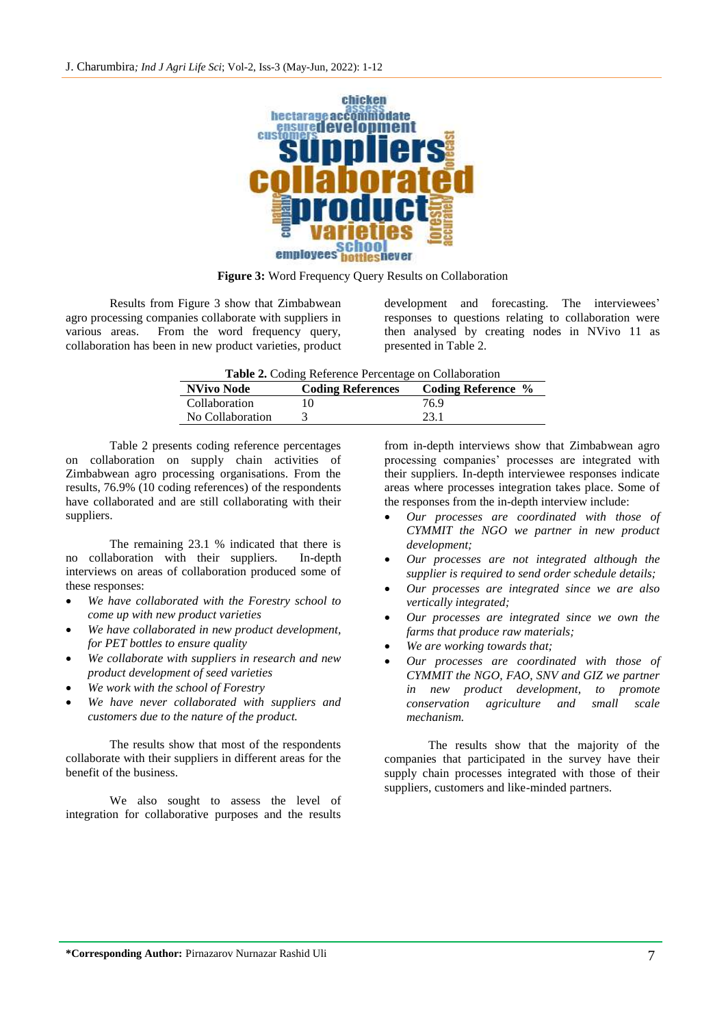

**Figure 3:** Word Frequency Query Results on Collaboration

Results from Figure 3 show that Zimbabwean agro processing companies collaborate with suppliers in various areas. From the word frequency query, collaboration has been in new product varieties, product

development and forecasting. The interviewees' responses to questions relating to collaboration were then analysed by creating nodes in NVivo 11 as presented in Table 2.

|                  | .                        |                           |
|------------------|--------------------------|---------------------------|
| NVivo Node       | <b>Coding References</b> | <b>Coding Reference %</b> |
| Collaboration    |                          | 76.9                      |
| No Collaboration |                          | 23.1                      |
|                  |                          |                           |

Table 2 presents coding reference percentages on collaboration on supply chain activities of Zimbabwean agro processing organisations. From the results, 76.9% (10 coding references) of the respondents have collaborated and are still collaborating with their suppliers.

The remaining 23.1 % indicated that there is no collaboration with their suppliers. In-depth interviews on areas of collaboration produced some of these responses:

- *We have collaborated with the Forestry school to come up with new product varieties*
- *We have collaborated in new product development, for PET bottles to ensure quality*
- *We collaborate with suppliers in research and new product development of seed varieties*
- *We work with the school of Forestry*
- *We have never collaborated with suppliers and customers due to the nature of the product.*

The results show that most of the respondents collaborate with their suppliers in different areas for the benefit of the business.

We also sought to assess the level of integration for collaborative purposes and the results

from in-depth interviews show that Zimbabwean agro processing companies' processes are integrated with their suppliers. In-depth interviewee responses indicate areas where processes integration takes place. Some of the responses from the in-depth interview include:

- *Our processes are coordinated with those of CYMMIT the NGO we partner in new product development;*
- *Our processes are not integrated although the supplier is required to send order schedule details;*
- *Our processes are integrated since we are also vertically integrated;*
- *Our processes are integrated since we own the farms that produce raw materials;*
- *We are working towards that;*
- *Our processes are coordinated with those of CYMMIT the NGO, FAO, SNV and GIZ we partner in new product development, to promote conservation agriculture and small scale mechanism.*

The results show that the majority of the companies that participated in the survey have their supply chain processes integrated with those of their suppliers, customers and like-minded partners.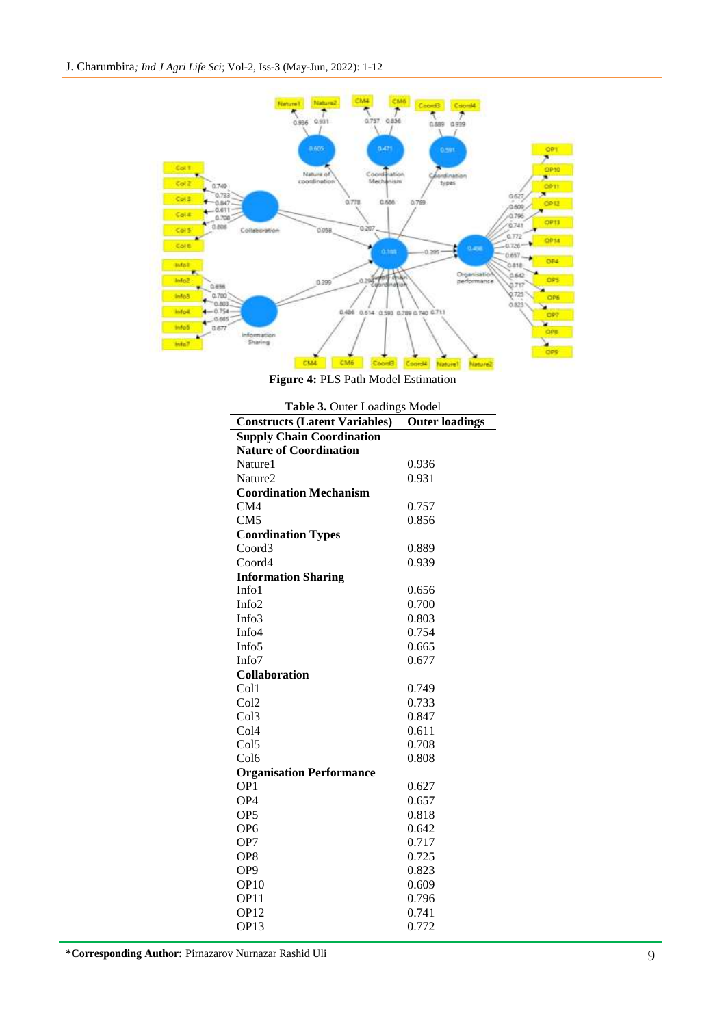

**Figure 4:** PLS Path Model Estimation

|                                      | Table 3. Outer Loadings Model |  |  |  |
|--------------------------------------|-------------------------------|--|--|--|
| <b>Constructs (Latent Variables)</b> | <b>Outer loadings</b>         |  |  |  |
| <b>Supply Chain Coordination</b>     |                               |  |  |  |
| <b>Nature of Coordination</b>        |                               |  |  |  |
| Nature1                              | 0.936                         |  |  |  |
| Nature <sub>2</sub>                  | 0.931                         |  |  |  |
| <b>Coordination Mechanism</b>        |                               |  |  |  |
| CM4                                  | 0.757                         |  |  |  |
| CM5                                  | 0.856                         |  |  |  |
| <b>Coordination Types</b>            |                               |  |  |  |
| Coord3                               | 0.889                         |  |  |  |
| Coord4                               | 0.939                         |  |  |  |
| <b>Information Sharing</b>           |                               |  |  |  |
| Info1                                | 0.656                         |  |  |  |
| Info2                                | 0.700                         |  |  |  |
| Info3                                | 0.803                         |  |  |  |
| Info <sub>4</sub>                    | 0.754                         |  |  |  |
| Info <sub>5</sub>                    | 0.665                         |  |  |  |
| Info <sub>7</sub>                    | 0.677                         |  |  |  |
| <b>Collaboration</b>                 |                               |  |  |  |
| Col1                                 | 0.749                         |  |  |  |
| Col <sub>2</sub>                     | 0.733                         |  |  |  |
| Col <sub>3</sub>                     | 0.847                         |  |  |  |
| Col <sub>4</sub>                     | 0.611                         |  |  |  |
| Col <sub>5</sub>                     | 0.708                         |  |  |  |
| Col <sub>6</sub>                     | 0.808                         |  |  |  |
| <b>Organisation Performance</b>      |                               |  |  |  |
| OP <sub>1</sub>                      | 0.627                         |  |  |  |
| OP <sub>4</sub>                      | 0.657                         |  |  |  |
| OP <sub>5</sub>                      | 0.818                         |  |  |  |
| OP <sub>6</sub>                      | 0.642                         |  |  |  |
| OP7                                  | 0.717                         |  |  |  |
| OP <sub>8</sub>                      | 0.725                         |  |  |  |
| OP <sub>9</sub>                      | 0.823                         |  |  |  |
| OP10                                 | 0.609                         |  |  |  |
| OP11                                 | 0.796                         |  |  |  |
| <b>OP12</b>                          | 0.741                         |  |  |  |
| $\Omega$ P <sub>13</sub>             | 0.772                         |  |  |  |

| Cool umation iviechamsin        |       |  |
|---------------------------------|-------|--|
| CM4                             | 0.757 |  |
| CM5                             | 0.856 |  |
| <b>Coordination Types</b>       |       |  |
| Coord <sub>3</sub>              | 0.889 |  |
| Coord4                          | 0.939 |  |
| <b>Information Sharing</b>      |       |  |
| Info1                           | 0.656 |  |
| Info <sub>2</sub>               | 0.700 |  |
| Info3                           | 0.803 |  |
| Info <sub>4</sub>               | 0.754 |  |
| Info <sub>5</sub>               | 0.665 |  |
| Info <sub>7</sub>               | 0.677 |  |
| <b>Collaboration</b>            |       |  |
| Col1                            | 0.749 |  |
| Col <sub>2</sub>                | 0.733 |  |
| Col <sub>3</sub>                | 0.847 |  |
| Col4                            | 0.611 |  |
| Col <sub>5</sub>                | 0.708 |  |
| Col <sub>6</sub>                | 0.808 |  |
| <b>Organisation Performance</b> |       |  |
| OP1                             | 0.627 |  |
| OP4                             | 0.657 |  |
| OP <sub>5</sub>                 | 0.818 |  |
| OP <sub>6</sub>                 | 0.642 |  |
| OP7                             | 0.717 |  |
| OP <sub>8</sub>                 | 0.725 |  |
| OP <sub>9</sub>                 | 0.823 |  |
| OP10                            | 0.609 |  |
| OP11                            | 0.796 |  |
| OP12                            | 0.741 |  |
| OP <sub>13</sub>                | 0.772 |  |
| Nurnazar Rashid Uli             |       |  |

**\*Corresponding Author:** Pirnazarov Nurnazar Rashid Uli 9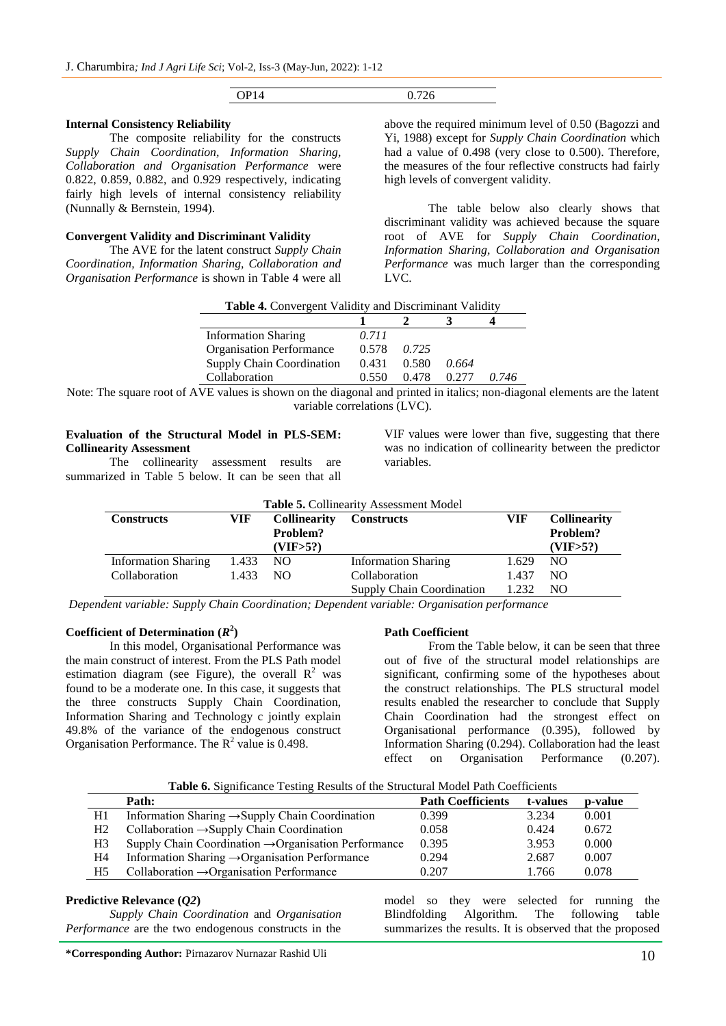| OP14 | 0.726 |
|------|-------|

#### **Internal Consistency Reliability**

The composite reliability for the constructs *Supply Chain Coordination, Information Sharing, Collaboration and Organisation Performance* were 0.822, 0.859, 0.882, and 0.929 respectively, indicating fairly high levels of internal consistency reliability (Nunnally & Bernstein, 1994).

## **Convergent Validity and Discriminant Validity**

The AVE for the latent construct *Supply Chain Coordination, Information Sharing, Collaboration and Organisation Performance* is shown in Table 4 were all above the required minimum level of 0.50 (Bagozzi and Yi, 1988) except for *Supply Chain Coordination* which had a value of 0.498 (very close to 0.500). Therefore, the measures of the four reflective constructs had fairly high levels of convergent validity.

The table below also clearly shows that discriminant validity was achieved because the square root of AVE for *Supply Chain Coordination, Information Sharing, Collaboration and Organisation Performance* was much larger than the corresponding LVC.

| Table 4. Convergent Validity and Discriminant Validity |       |       |       |       |  |
|--------------------------------------------------------|-------|-------|-------|-------|--|
|                                                        |       |       |       |       |  |
| <b>Information Sharing</b>                             | 0.711 |       |       |       |  |
| <b>Organisation Performance</b>                        | 0.578 | 0.725 |       |       |  |
| <b>Supply Chain Coordination</b>                       | 0.431 | 0.580 | 0.664 |       |  |
| Collaboration                                          | 0.550 | 0.478 | 0.277 | 0.746 |  |

Note: The square root of AVE values is shown on the diagonal and printed in italics; non-diagonal elements are the latent variable correlations (LVC).

### **Evaluation of the Structural Model in PLS-SEM: Collinearity Assessment**

The collinearity assessment results are summarized in Table 5 below. It can be seen that all VIF values were lower than five, suggesting that there was no indication of collinearity between the predictor variables.

| <b>Table 5. Collinearity Assessment Model</b> |                     |            |                                  |       |                |
|-----------------------------------------------|---------------------|------------|----------------------------------|-------|----------------|
| <b>Constructs</b>                             | <b>Collinearity</b> |            |                                  |       |                |
| Problem?                                      |                     |            | Problem?                         |       |                |
|                                               |                     | (VIF > 5?) |                                  |       | (VIF > 5?)     |
| <b>Information Sharing</b>                    | 1.433               | NO.        | <b>Information Sharing</b>       | 1.629 | N <sub>O</sub> |
| Collaboration                                 | 1.433               | NO.        | Collaboration                    | 1.437 | NO.            |
|                                               |                     |            | <b>Supply Chain Coordination</b> | 1.232 | NO.            |

*Dependent variable: Supply Chain Coordination; Dependent variable: Organisation performance* 

## Coefficient of Determination  $(R^2)$

In this model, Organisational Performance was the main construct of interest. From the PLS Path model estimation diagram (see Figure), the overall  $\mathbb{R}^2$  was found to be a moderate one. In this case, it suggests that the three constructs Supply Chain Coordination, Information Sharing and Technology c jointly explain 49.8% of the variance of the endogenous construct Organisation Performance. The  $R^2$  value is 0.498.

#### **Path Coefficient**

From the Table below, it can be seen that three out of five of the structural model relationships are significant, confirming some of the hypotheses about the construct relationships. The PLS structural model results enabled the researcher to conclude that Supply Chain Coordination had the strongest effect on Organisational performance (0.395), followed by Information Sharing (0.294). Collaboration had the least effect on Organisation Performance (0.207).

| Table 6. Significance Testing Results of the Structural Model Path Coefficients |  |  |  |  |  |
|---------------------------------------------------------------------------------|--|--|--|--|--|
|---------------------------------------------------------------------------------|--|--|--|--|--|

|                | Path:                                                            | <b>Path Coefficients</b> | t-values | p-value |
|----------------|------------------------------------------------------------------|--------------------------|----------|---------|
| H1             | Information Sharing $\rightarrow$ Supply Chain Coordination      | 0.399                    | 3.234    | 0.001   |
| H <sub>2</sub> | Collaboration $\rightarrow$ Supply Chain Coordination            | 0.058                    | 0.424    | 0.672   |
| H3             | Supply Chain Coordination $\rightarrow$ Organisation Performance | 0.395                    | 3.953    | 0.000   |
| H4             | Information Sharing $\rightarrow$ Organisation Performance       | 0.294                    | 2.687    | 0.007   |
| H <sub>5</sub> | Collaboration $\rightarrow$ Organisation Performance             | 0.207                    | 1.766    | 0.078   |

### **Predictive Relevance (***Q2***)**

*Supply Chain Coordination* and *Organisation Performance* are the two endogenous constructs in the model so they were selected for running the Blindfolding Algorithm. The following table summarizes the results. It is observed that the proposed

**\*Corresponding Author:** Pirnazarov Nurnazar Rashid Uli 10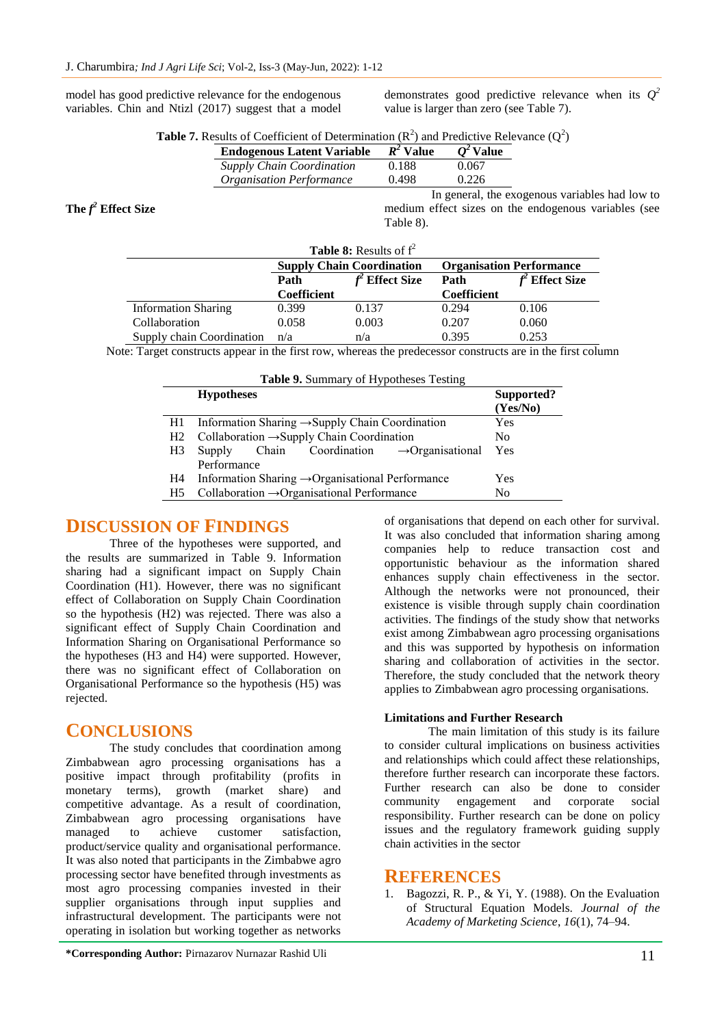model has good predictive relevance for the endogenous variables. Chin and Ntizl (2017) suggest that a model demonstrates good predictive relevance when its  $Q^2$ value is larger than zero (see Table 7).

| <b>Table 7.</b> Results of Coefficient of Determination $(R^2)$ and Predictive Relevance $(Q^2)$ |  |  |
|--------------------------------------------------------------------------------------------------|--|--|
|                                                                                                  |  |  |

| <b>Endogenous Latent Variable</b> | $R^2$ Value | $Q^2$ Value |
|-----------------------------------|-------------|-------------|
| <b>Supply Chain Coordination</b>  | 0.188       | 0.067       |
| <b>Organisation Performance</b>   | 0.498       | 0.226       |

**The** *f <sup>2</sup>* **Effect Size**

In general, the exogenous variables had low to medium effect sizes on the endogenous variables (see Table 8).

| <b>Table 8:</b> Results of $f^2$ |                                  |                    |                                 |                    |  |
|----------------------------------|----------------------------------|--------------------|---------------------------------|--------------------|--|
|                                  | <b>Supply Chain Coordination</b> |                    | <b>Organisation Performance</b> |                    |  |
|                                  | Path                             | <b>Effect Size</b> | Path                            | <b>Effect Size</b> |  |
|                                  | <b>Coefficient</b>               |                    | Coefficient                     |                    |  |
| <b>Information Sharing</b>       | 0.399                            | 0.137              | 0.294                           | 0.106              |  |
| Collaboration                    | 0.058                            | 0.003              | 0.207                           | 0.060              |  |
| Supply chain Coordination        | n/a                              | n/a                | 0.395                           | 0.253              |  |

Note: Target constructs appear in the first row, whereas the predecessor constructs are in the first column

| Table 9. Summary of Hypotheses Testing |                                                              |                        |  |  |  |
|----------------------------------------|--------------------------------------------------------------|------------------------|--|--|--|
|                                        | <b>Hypotheses</b>                                            | Supported?<br>(Yes/No) |  |  |  |
| H1                                     | Information Sharing $\rightarrow$ Supply Chain Coordination  | Yes                    |  |  |  |
| H <sub>2</sub>                         | Collaboration $\rightarrow$ Supply Chain Coordination        | No                     |  |  |  |
| H <sub>3</sub>                         | Chain Coordination $\rightarrow$ Organisational<br>Supply    | Yes                    |  |  |  |
|                                        | Performance                                                  |                        |  |  |  |
| H4                                     | Information Sharing $\rightarrow$ Organisational Performance | Yes                    |  |  |  |
| H <sub>5</sub>                         | Collaboration $\rightarrow$ Organisational Performance       | No                     |  |  |  |

## **DISCUSSION OF FINDINGS**

Three of the hypotheses were supported, and the results are summarized in Table 9. Information sharing had a significant impact on Supply Chain Coordination (H1). However, there was no significant effect of Collaboration on Supply Chain Coordination so the hypothesis (H2) was rejected. There was also a significant effect of Supply Chain Coordination and Information Sharing on Organisational Performance so the hypotheses (H3 and H4) were supported. However, there was no significant effect of Collaboration on Organisational Performance so the hypothesis (H5) was rejected.

## **CONCLUSIONS**

The study concludes that coordination among Zimbabwean agro processing organisations has a positive impact through profitability (profits in monetary terms), growth (market share) and competitive advantage. As a result of coordination, Zimbabwean agro processing organisations have managed to achieve customer satisfaction, product/service quality and organisational performance. It was also noted that participants in the Zimbabwe agro processing sector have benefited through investments as most agro processing companies invested in their supplier organisations through input supplies and infrastructural development. The participants were not operating in isolation but working together as networks

of organisations that depend on each other for survival. It was also concluded that information sharing among companies help to reduce transaction cost and opportunistic behaviour as the information shared enhances supply chain effectiveness in the sector. Although the networks were not pronounced, their existence is visible through supply chain coordination activities. The findings of the study show that networks exist among Zimbabwean agro processing organisations and this was supported by hypothesis on information sharing and collaboration of activities in the sector. Therefore, the study concluded that the network theory applies to Zimbabwean agro processing organisations.

## **Limitations and Further Research**

The main limitation of this study is its failure to consider cultural implications on business activities and relationships which could affect these relationships, therefore further research can incorporate these factors. Further research can also be done to consider community engagement and corporate social responsibility. Further research can be done on policy issues and the regulatory framework guiding supply chain activities in the sector

## **REFERENCES**

1. Bagozzi, R. P., & Yi, Y. (1988). On the Evaluation of Structural Equation Models. *Journal of the Academy of Marketing Science*, *16*(1), 74–94.